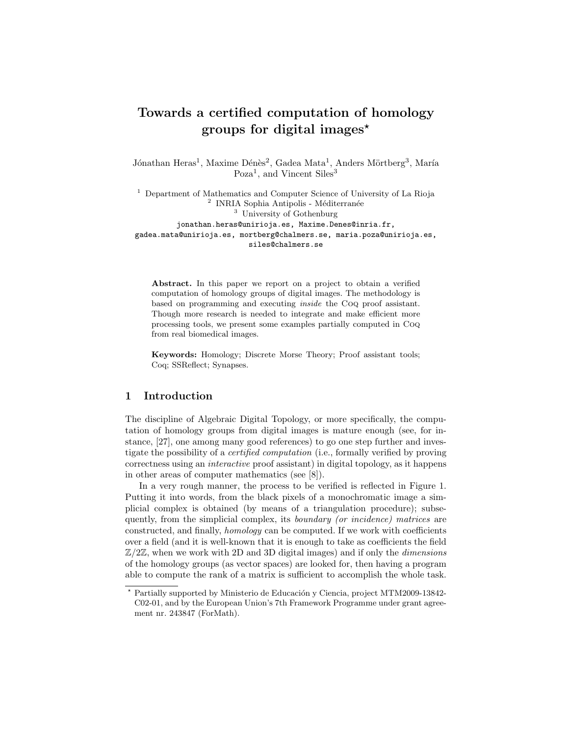# Towards a certified computation of homology groups for digital images $\star$

Jónathan Heras<sup>1</sup>, Maxime Dénès<sup>2</sup>, Gadea Mata<sup>1</sup>, Anders Mörtberg<sup>3</sup>, María Poza<sup>1</sup>, and Vincent Siles<sup>3</sup>

<sup>1</sup> Department of Mathematics and Computer Science of University of La Rioja <sup>2</sup> INRIA Sophia Antipolis - Méditerranée <sup>3</sup> University of Gothenburg jonathan.heras@unirioja.es, Maxime.Denes@inria.fr, gadea.mata@unirioja.es, mortberg@chalmers.se, maria.poza@unirioja.es, siles@chalmers.se

Abstract. In this paper we report on a project to obtain a verified computation of homology groups of digital images. The methodology is based on programming and executing inside the Coq proof assistant. Though more research is needed to integrate and make efficient more processing tools, we present some examples partially computed in Coq from real biomedical images.

Keywords: Homology; Discrete Morse Theory; Proof assistant tools; Coq; SSReflect; Synapses.

### 1 Introduction

The discipline of Algebraic Digital Topology, or more specifically, the computation of homology groups from digital images is mature enough (see, for instance, [\[27\]](#page-8-0), one among many good references) to go one step further and investigate the possibility of a certified computation (i.e., formally verified by proving correctness using an interactive proof assistant) in digital topology, as it happens in other areas of computer mathematics (see [\[8\]](#page-7-0)).

In a very rough manner, the process to be verified is reflected in Figure [1.](#page-1-0) Putting it into words, from the black pixels of a monochromatic image a simplicial complex is obtained (by means of a triangulation procedure); subsequently, from the simplicial complex, its *boundary (or incidence) matrices* are constructed, and finally, homology can be computed. If we work with coefficients over a field (and it is well-known that it is enough to take as coefficients the field  $\mathbb{Z}/2\mathbb{Z}$ , when we work with 2D and 3D digital images) and if only the *dimensions* of the homology groups (as vector spaces) are looked for, then having a program able to compute the rank of a matrix is sufficient to accomplish the whole task.

Partially supported by Ministerio de Educación y Ciencia, project MTM2009-13842-C02-01, and by the European Union's 7th Framework Programme under grant agreement nr. 243847 (ForMath).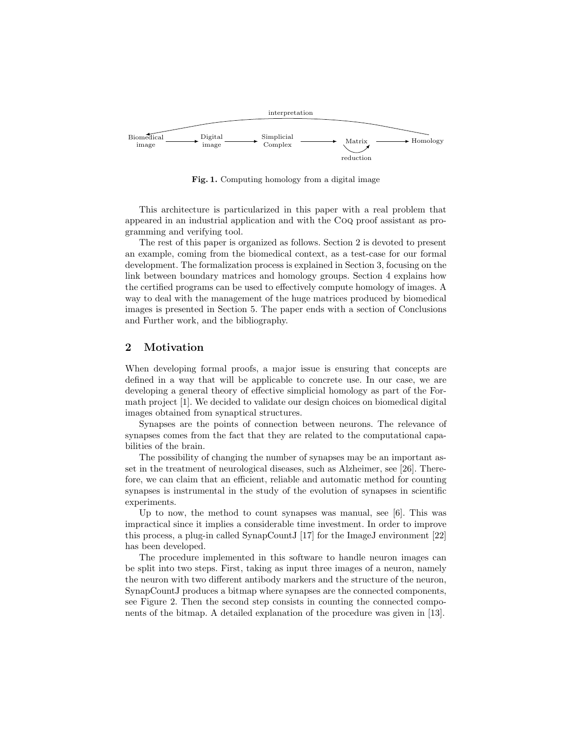

<span id="page-1-0"></span>Fig. 1. Computing homology from a digital image

This architecture is particularized in this paper with a real problem that appeared in an industrial application and with the Coq proof assistant as programming and verifying tool.

The rest of this paper is organized as follows. Section [2](#page-1-1) is devoted to present an example, coming from the biomedical context, as a test-case for our formal development. The formalization process is explained in Section [3,](#page-2-0) focusing on the link between boundary matrices and homology groups. Section [4](#page-4-0) explains how the certified programs can be used to effectively compute homology of images. A way to deal with the management of the huge matrices produced by biomedical images is presented in Section [5.](#page-5-0) The paper ends with a section of Conclusions and Further work, and the bibliography.

## <span id="page-1-1"></span>2 Motivation

When developing formal proofs, a major issue is ensuring that concepts are defined in a way that will be applicable to concrete use. In our case, we are developing a general theory of effective simplicial homology as part of the Formath project [\[1\]](#page-7-1). We decided to validate our design choices on biomedical digital images obtained from synaptical structures.

Synapses are the points of connection between neurons. The relevance of synapses comes from the fact that they are related to the computational capabilities of the brain.

The possibility of changing the number of synapses may be an important asset in the treatment of neurological diseases, such as Alzheimer, see [\[26\]](#page-8-1). Therefore, we can claim that an efficient, reliable and automatic method for counting synapses is instrumental in the study of the evolution of synapses in scientific experiments.

Up to now, the method to count synapses was manual, see [\[6\]](#page-7-2). This was impractical since it implies a considerable time investment. In order to improve this process, a plug-in called SynapCountJ [\[17\]](#page-8-2) for the ImageJ environment [\[22\]](#page-8-3) has been developed.

The procedure implemented in this software to handle neuron images can be split into two steps. First, taking as input three images of a neuron, namely the neuron with two different antibody markers and the structure of the neuron, SynapCountJ produces a bitmap where synapses are the connected components, see Figure [2.](#page-2-1) Then the second step consists in counting the connected components of the bitmap. A detailed explanation of the procedure was given in [\[13\]](#page-8-4).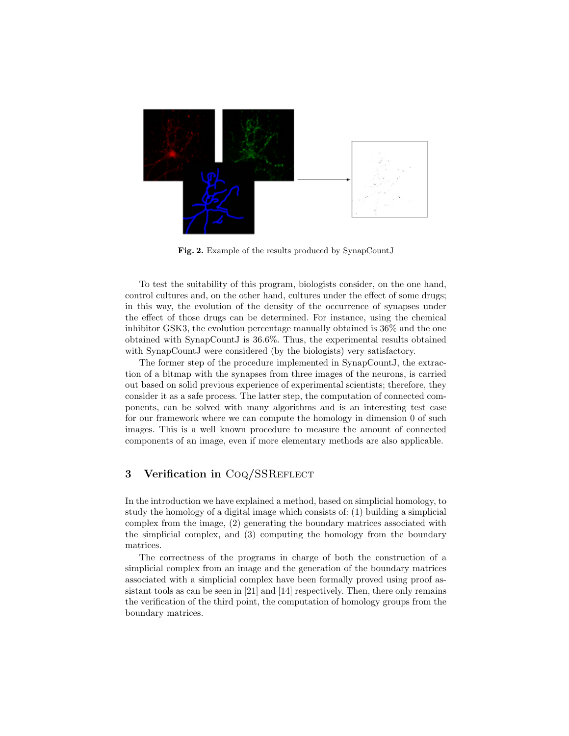

<span id="page-2-1"></span>Fig. 2. Example of the results produced by SynapCountJ

To test the suitability of this program, biologists consider, on the one hand, control cultures and, on the other hand, cultures under the effect of some drugs; in this way, the evolution of the density of the occurrence of synapses under the effect of those drugs can be determined. For instance, using the chemical inhibitor GSK3, the evolution percentage manually obtained is 36% and the one obtained with SynapCountJ is 36.6%. Thus, the experimental results obtained with SynapCountJ were considered (by the biologists) very satisfactory.

The former step of the procedure implemented in SynapCountJ, the extraction of a bitmap with the synapses from three images of the neurons, is carried out based on solid previous experience of experimental scientists; therefore, they consider it as a safe process. The latter step, the computation of connected components, can be solved with many algorithms and is an interesting test case for our framework where we can compute the homology in dimension 0 of such images. This is a well known procedure to measure the amount of connected components of an image, even if more elementary methods are also applicable.

## <span id="page-2-0"></span>3 Verification in CoQ/SSREFLECT

In the introduction we have explained a method, based on simplicial homology, to study the homology of a digital image which consists of: (1) building a simplicial complex from the image, (2) generating the boundary matrices associated with the simplicial complex, and (3) computing the homology from the boundary matrices.

The correctness of the programs in charge of both the construction of a simplicial complex from an image and the generation of the boundary matrices associated with a simplicial complex have been formally proved using proof assistant tools as can be seen in [\[21\]](#page-8-5) and [\[14\]](#page-8-6) respectively. Then, there only remains the verification of the third point, the computation of homology groups from the boundary matrices.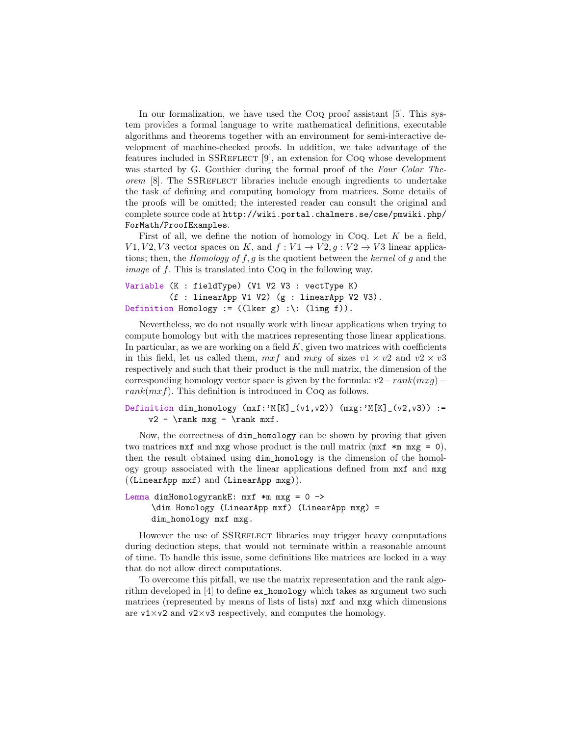In our formalization, we have used the Coq proof assistant [\[5\]](#page-7-3). This system provides a formal language to write mathematical definitions, executable algorithms and theorems together with an environment for semi-interactive development of machine-checked proofs. In addition, we take advantage of the features included in SSREFLECT [\[9\]](#page-7-4), an extension for CoQ whose development was started by G. Gonthier during the formal proof of the Four Color The-orem [\[8\]](#page-7-0). The SSREFLECT libraries include enough ingredients to undertake the task of defining and computing homology from matrices. Some details of the proofs will be omitted; the interested reader can consult the original and complete source code at [http://wiki.portal.chalmers.se/cse/pmwiki.php/](http://wiki.portal.chalmers.se/cse/pmwiki.php/ForMath/ProofExamples) [ForMath/ProofExamples](http://wiki.portal.chalmers.se/cse/pmwiki.php/ForMath/ProofExamples).

First of all, we define the notion of homology in Coq. Let  $K$  be a field,  $V1, V2, V3$  vector spaces on K, and  $f: V1 \rightarrow V2, q: V2 \rightarrow V3$  linear applications; then, the *Homology of f, g* is the quotient between the *kernel* of g and the image of f. This is translated into Coq in the following way.

```
Variable (K : fieldType) (V1 V2 V3 : vectType K)
          (f : linearApp V1 V2) (g : linearApp V2 V3).
Definition Homology := ((\text{lker } g) : \)' : (\text{limg } f)).
```
Nevertheless, we do not usually work with linear applications when trying to compute homology but with the matrices representing those linear applications. In particular, as we are working on a field  $K$ , given two matrices with coefficients in this field, let us called them,  $mxf$  and  $mxg$  of sizes  $v1 \times v2$  and  $v2 \times v3$ respectively and such that their product is the null matrix, the dimension of the corresponding homology vector space is given by the formula:  $v2-rank(mxq)$  $rank(mxf)$ . This definition is introduced in Coq as follows.

Definition dim\_homology  $(mxf: 'M[K]_-(v1,v2))$   $(mxg: 'M[K]_-(v2,v3))$  :=  $v2 - \rank mxg - \rank mxf$ .

Now, the correctness of dim\_homology can be shown by proving that given two matrices  $m \times f$  and  $m \times g$  whose product is the null matrix  $(m \times f * m)$   $m \times g = 0$ , then the result obtained using dim\_homology is the dimension of the homology group associated with the linear applications defined from mxf and mxg ((LinearApp mxf) and (LinearApp mxg)).

```
Lemma dimHomologyrankE: mxf *m mxe = 0 ->
     \dim Homology (LinearApp mxf) (LinearApp mxg) =
     dim_homology mxf mxg.
```
However the use of SSREFLECT libraries may trigger heavy computations during deduction steps, that would not terminate within a reasonable amount of time. To handle this issue, some definitions like matrices are locked in a way that do not allow direct computations.

To overcome this pitfall, we use the matrix representation and the rank algorithm developed in [\[4\]](#page-7-5) to define ex\_homology which takes as argument two such matrices (represented by means of lists of lists) mxf and mxg which dimensions are  $v1 \times v2$  and  $v2 \times v3$  respectively, and computes the homology.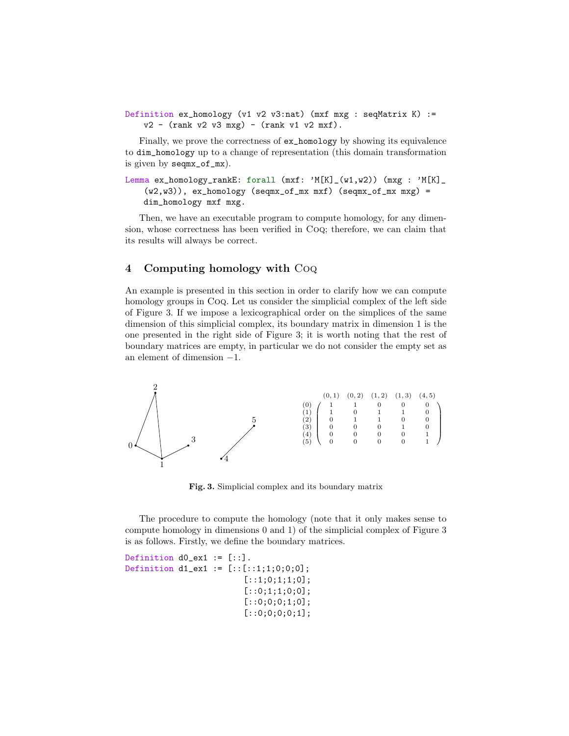Definition ex\_homology (v1 v2 v3:nat) (mxf mxg : seqMatrix K) :=  $v2 - (rank v2 v3 m xg) - (rank v1 v2 m xf).$ 

Finally, we prove the correctness of ex\_homology by showing its equivalence to dim\_homology up to a change of representation (this domain transformation is given by seqmx\_of\_mx).

```
Lemma ex_homology_rankE: forall (mxf: 'M[K] (w1,w2)) (mxg : 'M[K](w2,w3), ex_homology (seqmx_of_mx mxf) (seqmx_of_mx mxg) =
   dim_homology mxf mxg.
```
Then, we have an executable program to compute homology, for any dimension, whose correctness has been verified in Coq; therefore, we can claim that its results will always be correct.

# <span id="page-4-0"></span>4 Computing homology with Coq

An example is presented in this section in order to clarify how we can compute homology groups in CoQ. Let us consider the simplicial complex of the left side of Figure [3.](#page-4-1) If we impose a lexicographical order on the simplices of the same dimension of this simplicial complex, its boundary matrix in dimension 1 is the one presented in the right side of Figure [3;](#page-4-1) it is worth noting that the rest of boundary matrices are empty, in particular we do not consider the empty set as an element of dimension −1.



<span id="page-4-1"></span>Fig. 3. Simplicial complex and its boundary matrix

The procedure to compute the homology (note that it only makes sense to compute homology in dimensions 0 and 1) of the simplicial complex of Figure [3](#page-4-1) is as follows. Firstly, we define the boundary matrices.

```
Definition d0<sub>-</sub>ex1 := [:.].
Definition d1_ex1 := [\dots [::1;1;0;0;0];[::1;0;1;1;0];[::0;1;1;0;0];[::0;0;0;1;0];[::0;0;0;0;1];
```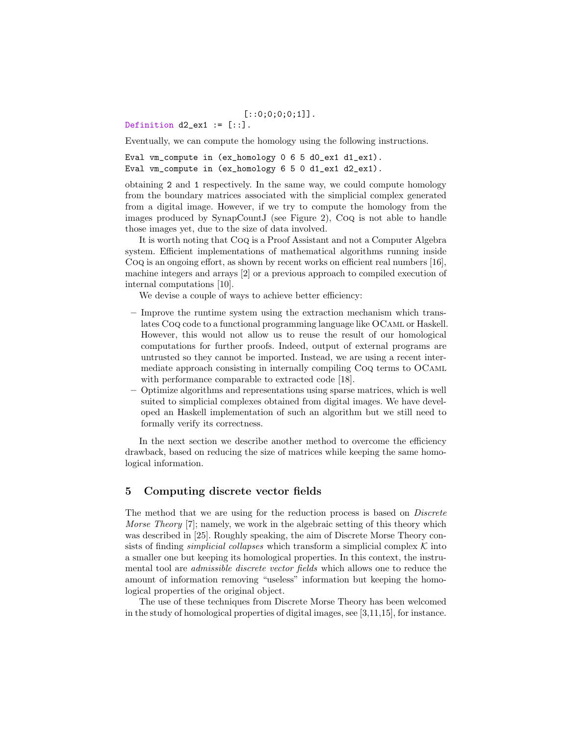$[::0;0;0;0;1]$ .

Definition  $d2$ <sub>c</sub>ex1 :=  $[::]$ .

Eventually, we can compute the homology using the following instructions.

Eval vm\_compute in (ex\_homology 0 6 5 d0\_ex1 d1\_ex1). Eval vm\_compute in (ex\_homology 6 5 0 d1\_ex1 d2\_ex1).

obtaining 2 and 1 respectively. In the same way, we could compute homology from the boundary matrices associated with the simplicial complex generated from a digital image. However, if we try to compute the homology from the images produced by SynapCountJ (see Figure [2\)](#page-2-1), Coq is not able to handle those images yet, due to the size of data involved.

It is worth noting that Coq is a Proof Assistant and not a Computer Algebra system. Efficient implementations of mathematical algorithms running inside Coq is an ongoing effort, as shown by recent works on efficient real numbers [\[16\]](#page-8-7), machine integers and arrays [\[2\]](#page-7-6) or a previous approach to compiled execution of internal computations [\[10\]](#page-7-7).

We devise a couple of ways to achieve better efficiency:

- Improve the runtime system using the extraction mechanism which translates Coq code to a functional programming language like OCaml or Haskell. However, this would not allow us to reuse the result of our homological computations for further proofs. Indeed, output of external programs are untrusted so they cannot be imported. Instead, we are using a recent intermediate approach consisting in internally compiling Coq terms to OCaml with performance comparable to extracted code [\[18\]](#page-8-8).
- Optimize algorithms and representations using sparse matrices, which is well suited to simplicial complexes obtained from digital images. We have developed an Haskell implementation of such an algorithm but we still need to formally verify its correctness.

In the next section we describe another method to overcome the efficiency drawback, based on reducing the size of matrices while keeping the same homological information.

### <span id="page-5-0"></span>5 Computing discrete vector fields

The method that we are using for the reduction process is based on Discrete Morse Theory [\[7\]](#page-7-8); namely, we work in the algebraic setting of this theory which was described in [\[25\]](#page-8-9). Roughly speaking, the aim of Discrete Morse Theory consists of finding *simplicial collapses* which transform a simplicial complex  $K$  into a smaller one but keeping its homological properties. In this context, the instrumental tool are admissible discrete vector fields which allows one to reduce the amount of information removing "useless" information but keeping the homological properties of the original object.

The use of these techniques from Discrete Morse Theory has been welcomed in the study of homological properties of digital images, see [\[3,](#page-7-9)[11,](#page-7-10)[15\]](#page-8-10), for instance.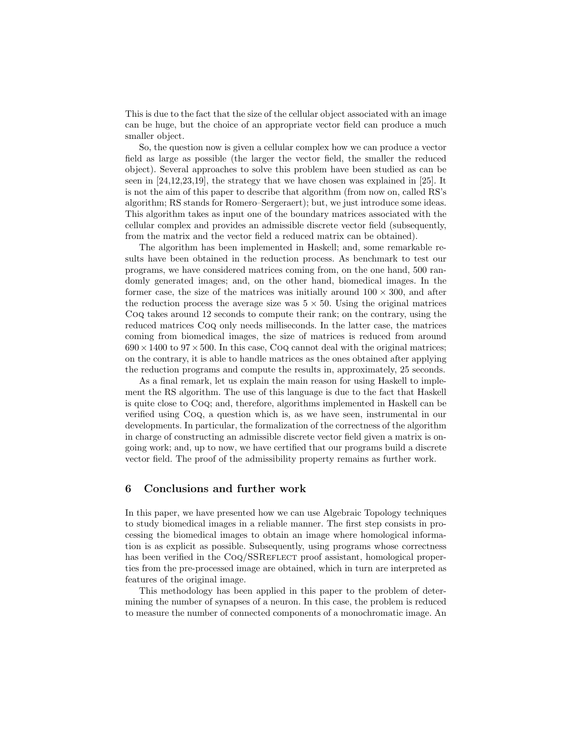This is due to the fact that the size of the cellular object associated with an image can be huge, but the choice of an appropriate vector field can produce a much smaller object.

So, the question now is given a cellular complex how we can produce a vector field as large as possible (the larger the vector field, the smaller the reduced object). Several approaches to solve this problem have been studied as can be seen in [\[24,](#page-8-11)[12,](#page-8-12)[23](#page-8-13)[,19\]](#page-8-14), the strategy that we have chosen was explained in [\[25\]](#page-8-9). It is not the aim of this paper to describe that algorithm (from now on, called RS's algorithm; RS stands for Romero–Sergeraert); but, we just introduce some ideas. This algorithm takes as input one of the boundary matrices associated with the cellular complex and provides an admissible discrete vector field (subsequently, from the matrix and the vector field a reduced matrix can be obtained).

The algorithm has been implemented in Haskell; and, some remarkable results have been obtained in the reduction process. As benchmark to test our programs, we have considered matrices coming from, on the one hand, 500 randomly generated images; and, on the other hand, biomedical images. In the former case, the size of the matrices was initially around  $100 \times 300$ , and after the reduction process the average size was  $5 \times 50$ . Using the original matrices Coq takes around 12 seconds to compute their rank; on the contrary, using the reduced matrices Coq only needs milliseconds. In the latter case, the matrices coming from biomedical images, the size of matrices is reduced from around  $690 \times 1400$  to  $97 \times 500$ . In this case, Coq cannot deal with the original matrices; on the contrary, it is able to handle matrices as the ones obtained after applying the reduction programs and compute the results in, approximately, 25 seconds.

As a final remark, let us explain the main reason for using Haskell to implement the RS algorithm. The use of this language is due to the fact that Haskell is quite close to Coq; and, therefore, algorithms implemented in Haskell can be verified using Coq, a question which is, as we have seen, instrumental in our developments. In particular, the formalization of the correctness of the algorithm in charge of constructing an admissible discrete vector field given a matrix is ongoing work; and, up to now, we have certified that our programs build a discrete vector field. The proof of the admissibility property remains as further work.

### 6 Conclusions and further work

In this paper, we have presented how we can use Algebraic Topology techniques to study biomedical images in a reliable manner. The first step consists in processing the biomedical images to obtain an image where homological information is as explicit as possible. Subsequently, using programs whose correctness has been verified in the CoQ/SSREFLECT proof assistant, homological properties from the pre-processed image are obtained, which in turn are interpreted as features of the original image.

This methodology has been applied in this paper to the problem of determining the number of synapses of a neuron. In this case, the problem is reduced to measure the number of connected components of a monochromatic image. An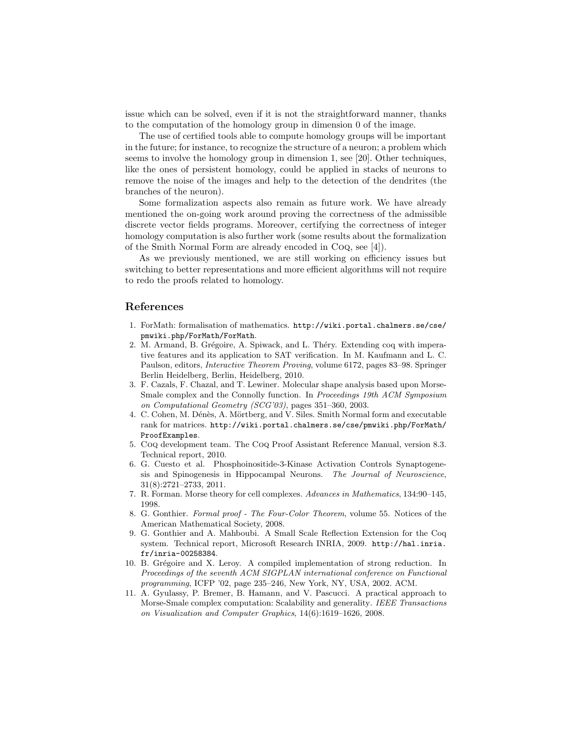issue which can be solved, even if it is not the straightforward manner, thanks to the computation of the homology group in dimension 0 of the image.

The use of certified tools able to compute homology groups will be important in the future; for instance, to recognize the structure of a neuron; a problem which seems to involve the homology group in dimension 1, see [\[20\]](#page-8-15). Other techniques, like the ones of persistent homology, could be applied in stacks of neurons to remove the noise of the images and help to the detection of the dendrites (the branches of the neuron).

Some formalization aspects also remain as future work. We have already mentioned the on-going work around proving the correctness of the admissible discrete vector fields programs. Moreover, certifying the correctness of integer homology computation is also further work (some results about the formalization of the Smith Normal Form are already encoded in Coq, see [\[4\]](#page-7-5)).

As we previously mentioned, we are still working on efficiency issues but switching to better representations and more efficient algorithms will not require to redo the proofs related to homology.

### References

- <span id="page-7-1"></span>1. ForMath: formalisation of mathematics. [http://wiki.portal.chalmers.se/cse/](http://wiki.portal.chalmers.se/cse/pmwiki.php/ForMath/ForMath) [pmwiki.php/ForMath/ForMath](http://wiki.portal.chalmers.se/cse/pmwiki.php/ForMath/ForMath).
- <span id="page-7-6"></span>2. M. Armand, B. Grégoire, A. Spiwack, and L. Théry. Extending coq with imperative features and its application to SAT verification. In M. Kaufmann and L. C. Paulson, editors, Interactive Theorem Proving, volume 6172, pages 83–98. Springer Berlin Heidelberg, Berlin, Heidelberg, 2010.
- <span id="page-7-9"></span>3. F. Cazals, F. Chazal, and T. Lewiner. Molecular shape analysis based upon Morse-Smale complex and the Connolly function. In Proceedings 19th ACM Symposium on Computational Geometry (SCG'03), pages 351–360, 2003.
- <span id="page-7-5"></span>4. C. Cohen, M. Dénès, A. Mörtberg, and V. Siles. Smith Normal form and executable rank for matrices. [http://wiki.portal.chalmers.se/cse/pmwiki.php/ForMath/](http://wiki.portal.chalmers.se/cse/pmwiki.php/ForMath/ProofExamples) [ProofExamples](http://wiki.portal.chalmers.se/cse/pmwiki.php/ForMath/ProofExamples).
- <span id="page-7-3"></span>5. Coq development team. The Coq Proof Assistant Reference Manual, version 8.3. Technical report, 2010.
- <span id="page-7-2"></span>6. G. Cuesto et al. Phosphoinositide-3-Kinase Activation Controls Synaptogenesis and Spinogenesis in Hippocampal Neurons. The Journal of Neuroscience, 31(8):2721–2733, 2011.
- <span id="page-7-8"></span>7. R. Forman. Morse theory for cell complexes. Advances in Mathematics, 134:90–145, 1998.
- <span id="page-7-0"></span>8. G. Gonthier. Formal proof - The Four-Color Theorem, volume 55. Notices of the American Mathematical Society, 2008.
- <span id="page-7-4"></span>9. G. Gonthier and A. Mahboubi. A Small Scale Reflection Extension for the Coq system. Technical report, Microsoft Research INRIA, 2009. [http://hal.inria.](http://hal.inria.fr/inria-00258384) [fr/inria-00258384](http://hal.inria.fr/inria-00258384).
- <span id="page-7-7"></span>10. B. Grégoire and X. Leroy. A compiled implementation of strong reduction. In Proceedings of the seventh ACM SIGPLAN international conference on Functional programming, ICFP '02, page 235–246, New York, NY, USA, 2002. ACM.
- <span id="page-7-10"></span>11. A. Gyulassy, P. Bremer, B. Hamann, and V. Pascucci. A practical approach to Morse-Smale complex computation: Scalability and generality. IEEE Transactions on Visualization and Computer Graphics, 14(6):1619–1626, 2008.